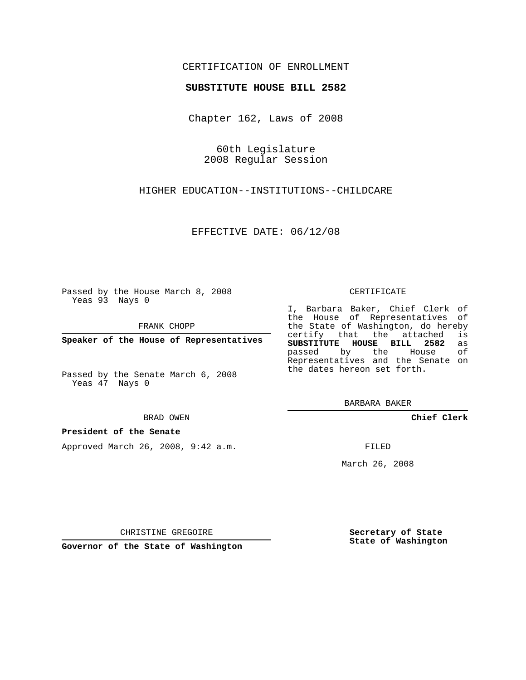# CERTIFICATION OF ENROLLMENT

## **SUBSTITUTE HOUSE BILL 2582**

Chapter 162, Laws of 2008

60th Legislature 2008 Regular Session

HIGHER EDUCATION--INSTITUTIONS--CHILDCARE

EFFECTIVE DATE: 06/12/08

Passed by the House March 8, 2008 Yeas 93 Nays 0

FRANK CHOPP

**Speaker of the House of Representatives**

Passed by the Senate March 6, 2008 Yeas 47 Nays 0

#### BRAD OWEN

## **President of the Senate**

Approved March 26, 2008, 9:42 a.m.

#### CERTIFICATE

I, Barbara Baker, Chief Clerk of the House of Representatives of the State of Washington, do hereby<br>certify that the attached is certify that the attached **SUBSTITUTE HOUSE BILL 2582** as passed by the House Representatives and the Senate on the dates hereon set forth.

BARBARA BAKER

**Chief Clerk**

FILED

March 26, 2008

CHRISTINE GREGOIRE

**Governor of the State of Washington**

**Secretary of State State of Washington**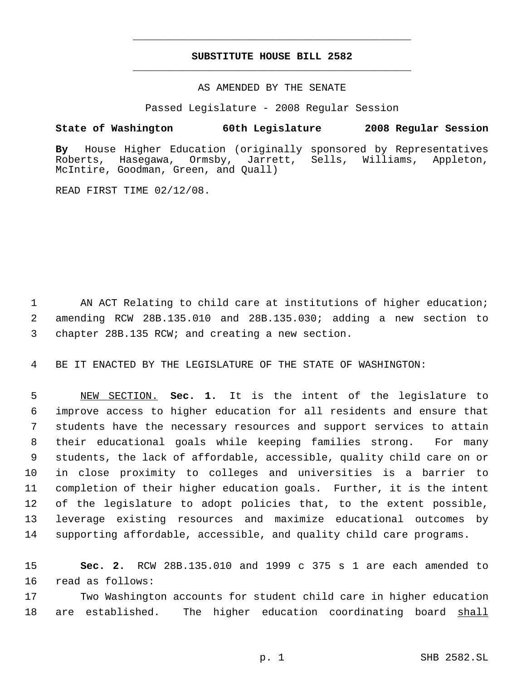# **SUBSTITUTE HOUSE BILL 2582** \_\_\_\_\_\_\_\_\_\_\_\_\_\_\_\_\_\_\_\_\_\_\_\_\_\_\_\_\_\_\_\_\_\_\_\_\_\_\_\_\_\_\_\_\_

\_\_\_\_\_\_\_\_\_\_\_\_\_\_\_\_\_\_\_\_\_\_\_\_\_\_\_\_\_\_\_\_\_\_\_\_\_\_\_\_\_\_\_\_\_

## AS AMENDED BY THE SENATE

Passed Legislature - 2008 Regular Session

## **State of Washington 60th Legislature 2008 Regular Session**

**By** House Higher Education (originally sponsored by Representatives Hasegawa, Ormsby, Jarrett, Sells, Williams, Appleton, McIntire, Goodman, Green, and Quall)

READ FIRST TIME 02/12/08.

1 AN ACT Relating to child care at institutions of higher education; 2 amending RCW 28B.135.010 and 28B.135.030; adding a new section to 3 chapter 28B.135 RCW; and creating a new section.

4 BE IT ENACTED BY THE LEGISLATURE OF THE STATE OF WASHINGTON:

 NEW SECTION. **Sec. 1.** It is the intent of the legislature to improve access to higher education for all residents and ensure that students have the necessary resources and support services to attain their educational goals while keeping families strong. For many students, the lack of affordable, accessible, quality child care on or in close proximity to colleges and universities is a barrier to completion of their higher education goals. Further, it is the intent of the legislature to adopt policies that, to the extent possible, leverage existing resources and maximize educational outcomes by supporting affordable, accessible, and quality child care programs.

15 **Sec. 2.** RCW 28B.135.010 and 1999 c 375 s 1 are each amended to 16 read as follows:

17 Two Washington accounts for student child care in higher education 18 are established. The higher education coordinating board shall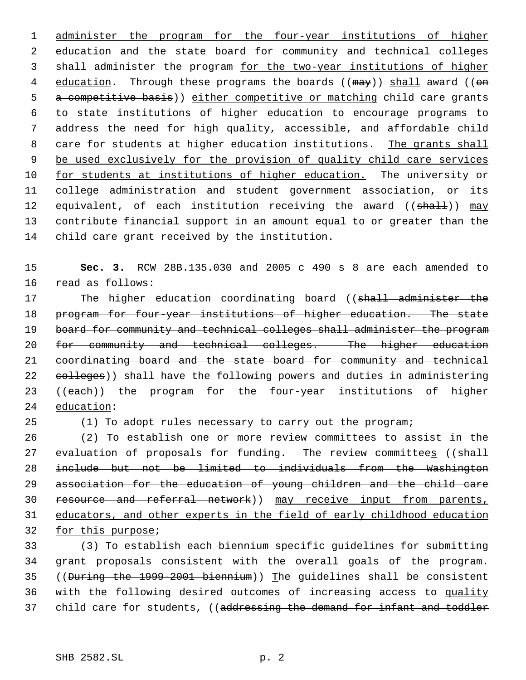1 administer the program for the four-year institutions of higher 2 education and the state board for community and technical colleges 3 shall administer the program for the two-year institutions of higher 4 education. Through these programs the boards ((may)) shall award ((on 5 a competitive basis)) either competitive or matching child care grants 6 to state institutions of higher education to encourage programs to 7 address the need for high quality, accessible, and affordable child 8 care for students at higher education institutions. The grants shall 9 be used exclusively for the provision of quality child care services 10 for students at institutions of higher education. The university or 11 college administration and student government association, or its 12 equivalent, of each institution receiving the award ((shall)) may 13 contribute financial support in an amount equal to or greater than the 14 child care grant received by the institution.

15 **Sec. 3.** RCW 28B.135.030 and 2005 c 490 s 8 are each amended to 16 read as follows:

17 The higher education coordinating board ((shall administer the 18 program for four-year institutions of higher education. The state 19 board for community and technical colleges shall administer the program 20 for community and technical colleges. The higher education 21 coordinating board and the state board for community and technical 22 colleges)) shall have the following powers and duties in administering 23 ((each)) the program for the four-year institutions of higher 24 education:

25 (1) To adopt rules necessary to carry out the program;

 (2) To establish one or more review committees to assist in the 27 evaluation of proposals for funding. The review committees ((shall include but not be limited to individuals from the Washington association for the education of young children and the child care 30 resource and referral network)) may receive input from parents, educators, and other experts in the field of early childhood education for this purpose;

 (3) To establish each biennium specific guidelines for submitting grant proposals consistent with the overall goals of the program. ((During the 1999-2001 biennium)) The guidelines shall be consistent with the following desired outcomes of increasing access to quality 37 child care for students, ((addressing the demand for infant and toddler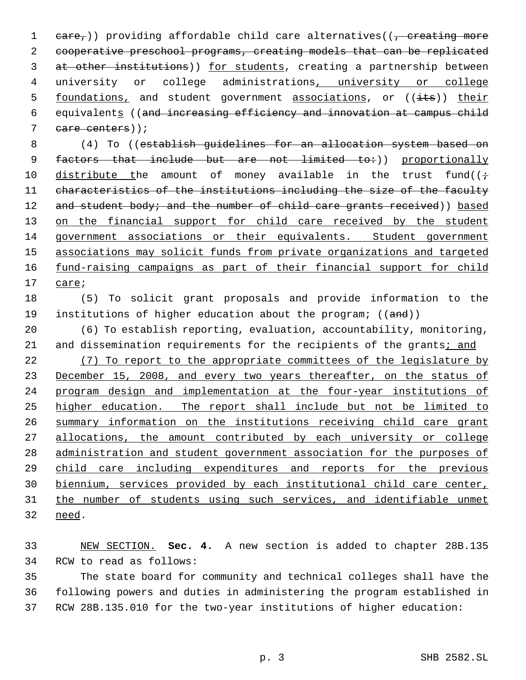1  $eare<sub>τ</sub>$ )) providing affordable child care alternatives(( $\tau$  creating more cooperative preschool programs, creating models that can be replicated 3 at other institutions)) for students, creating a partnership between 4 university or college administrations, university or college 5 foundations, and student government associations, or ((its)) their equivalents ((and increasing efficiency and innovation at campus child care centers));

 (4) To ((establish guidelines for an allocation system based on 9 factors that include but are not limited to:)) proportionally 10 distribute the amount of money available in the trust fund( $(\div)$  characteristics of the institutions including the size of the faculty 12 and student body; and the number of child care grants received)) based 13 on the financial support for child care received by the student government associations or their equivalents. Student government associations may solicit funds from private organizations and targeted 16 fund-raising campaigns as part of their financial support for child care;

 (5) To solicit grant proposals and provide information to the 19 institutions of higher education about the program; ((and))

 (6) To establish reporting, evaluation, accountability, monitoring, and dissemination requirements for the recipients of the grants; and

 (7) To report to the appropriate committees of the legislature by 23 December 15, 2008, and every two years thereafter, on the status of program design and implementation at the four-year institutions of higher education. The report shall include but not be limited to summary information on the institutions receiving child care grant 27 allocations, the amount contributed by each university or college administration and student government association for the purposes of child care including expenditures and reports for the previous biennium, services provided by each institutional child care center, 31 the number of students using such services, and identifiable unmet need.

 NEW SECTION. **Sec. 4.** A new section is added to chapter 28B.135 RCW to read as follows:

 The state board for community and technical colleges shall have the following powers and duties in administering the program established in RCW 28B.135.010 for the two-year institutions of higher education: